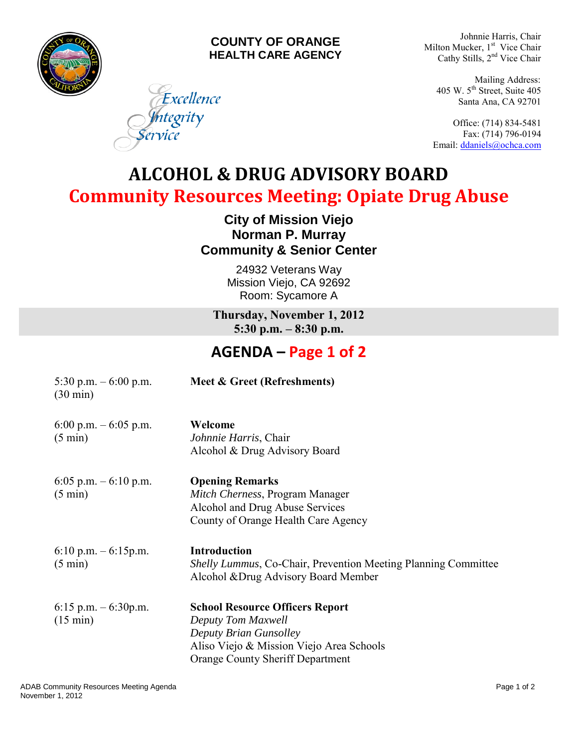

#### **COUNTY OF ORANGE HEALTH CARE AGENCY**

Excellence

ntegrity

ervice

Johnnie Harris, Chair Milton Mucker, 1<sup>st</sup> Vice Chair Cathy Stills, 2<sup>nd</sup> Vice Chair

Mailing Address: 405 W.  $5<sup>th</sup>$  Street, Suite 405 Santa Ana, CA 92701

Office: (714) 834-5481 Fax: (714) 796-0194 Email: [ddaniels@ochca.com](mailto:ddaniels@ochca.com)

# **ALCOHOL & DRUG ADVISORY BOARD Community Resources Meeting: Opiate Drug Abuse**

#### **City of Mission Viejo Norman P. Murray Community & Senior Center**

24932 Veterans Way Mission Viejo, CA 92692 Room: Sycamore A

**Thursday, November 1, 2012 5:30 p.m. – 8:30 p.m.** 

### **AGENDA – Page 1 of 2**

| 5:30 p.m. $-6:00$ p.m.<br>$(30 \text{ min})$ | Meet & Greet (Refreshments)                                                                                                                                                   |
|----------------------------------------------|-------------------------------------------------------------------------------------------------------------------------------------------------------------------------------|
| 6:00 p.m. $-$ 6:05 p.m.<br>$(5 \text{ min})$ | Welcome<br>Johnnie Harris, Chair<br>Alcohol & Drug Advisory Board                                                                                                             |
| 6:05 p.m. $-6:10$ p.m.<br>$(5 \text{ min})$  | <b>Opening Remarks</b><br>Mitch Cherness, Program Manager<br>Alcohol and Drug Abuse Services<br>County of Orange Health Care Agency                                           |
| 6:10 p.m. $-6:15$ p.m.<br>$(5 \text{ min})$  | <b>Introduction</b><br><i>Shelly Lummus, Co-Chair, Prevention Meeting Planning Committee</i><br>Alcohol & Drug Advisory Board Member                                          |
| 6:15 p.m. $-6:30$ p.m.<br>$(15 \text{ min})$ | <b>School Resource Officers Report</b><br>Deputy Tom Maxwell<br>Deputy Brian Gunsolley<br>Aliso Viejo & Mission Viejo Area Schools<br><b>Orange County Sheriff Department</b> |